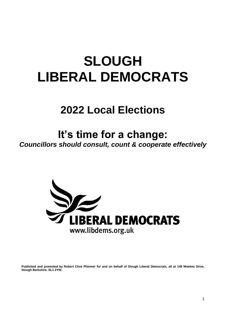# **SLOUGH LIBERAL DEMOCRATS**

# **2022 Local Elections**

# **It's time for a change:**

*Councillors should consult, count & cooperate effectively*



**Published and promoted by Robert Clive Plimmer for and on behalf of Slough Liberal Democrats, all at 149 Weekes Drive, Slough Berkshire. SL1 2YW.**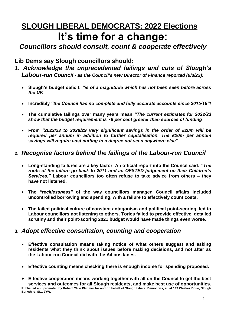## **SLOUGH LIBERAL DEMOCRATS: 2022 Elections It's time for a change:**

*Councillors should consult, count & cooperate effectively*

**Lib Dems say Slough councillors should:**

- **1.** *Acknowledge the unprecedented failings and cuts of Slough's Labour-run Council - as the Council's new Director of Finance reported (9/3/22):*
	- **Slough's budget deficit:** *"is of a magnitude which has not been seen before across the UK"*
	- **Incredibly** *"the Council has no complete and fully accurate accounts since 2015/16"!*
	- **The cumulative failings over many years mean** *"The current estimates for 2022/23 show that the budget requirement is 78 per cent greater than sources of funding"*
	- **From** *"2022/23 to 2028/29 very significant savings in the order of £20m will be required per annum in addition to further capitalisation. The £20m per annum savings will require cost cutting to a degree not seen anywhere else"*

#### **2.** *Recognise factors behind the failings of the Labour-run Council*

- **Long-standing failures are a key factor. An official report into the Council said:** *"The roots of the failure go back to 2011 and an OFSTED judgement on their Children's Services."* **Labour councillors too often refuse to take advice from others – they have not listened.**
- **The** *"recklessness"* **of the way councillors managed Council affairs included uncontrolled borrowing and spending, with a failure to effectively count costs.**
- **The failed political culture of constant antagonism and political point-scoring, led to Labour councillors not listening to others. Tories failed to provide effective, detailed scrutiny and their point-scoring 2021 budget would have made things even worse.**

#### **3.** *Adopt effective consultation, counting and cooperation*

- **Effective consultation means taking notice of what others suggest and asking residents what they think about issues before making decisions, and not after as the Labour-run Council did with the A4 bus lanes.**
- **Effective counting means checking there is enough income for spending proposed.**

**Effective cooperation means working together with all on the Council to get the best services and outcomes for all Slough residents, and make best use of opportunities. Published and promoted by Robert Clive Plimmer for and on behalf of Slough Liberal Democrats, all at 149 Weekes Drive, Slough Berkshire. SL1 2YW.**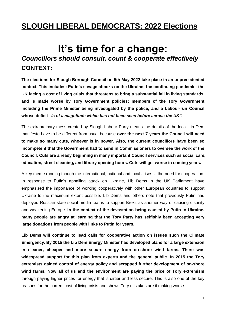### **SLOUGH LIBERAL DEMOCRATS: 2022 Elections**

### **It's time for a change:** *Councillors should consult, count & cooperate effectively* **CONTEXT:**

**The elections for Slough Borough Council on 5th May 2022 take place in an unprecedented context. This includes: Putin's savage attacks on the Ukraine; the continuing pandemic; the UK facing a cost of living crisis that threatens to bring a substantial fall in living standards, and is made worse by Tory Government policies; members of the Tory Government including the Prime Minister being investigated by the police; and a Labour-run Council whose deficit** *"is of a magnitude which has not been seen before across the UK".* 

The extraordinary mess created by Slough Labour Party means the details of the local Lib Dem manifesto have to be different from usual because **over the next 7 years the Council will need to make so many cuts, whoever is in power. Also, the current councillors have been so incompetent that the Government had to send in Commissioners to oversee the work of the Council. Cuts are already beginning in many important Council services such as social care, education, street cleaning, and library opening hours. Cuts will get worse in coming years.** 

A key theme running though the international, national and local crises is the need for cooperation. In response to Putin's appalling attack on Ukraine, Lib Dems in the UK Parliament have emphasised the importance of working cooperatively with other European countries to support Ukraine to the maximum extent possible. Lib Dems and others note that previously Putin had deployed Russian state social media teams to support Brexit as another way of causing disunity and weakening Europe. **In the context of the devastation being caused by Putin in Ukraine, many people are angry at learning that the Tory Party has selfishly been accepting very large donations from people with links to Putin for years.**

**Lib Dems will continue to lead calls for cooperative action on issues such the Climate Emergency. By 2015 the Lib Dem Energy Minister had developed plans for a large extension in cleaner, cheaper and more secure energy from on-shore wind farms. There was widespread support for this plan from experts and the general public. In 2015 the Tory extremists gained control of energy policy and scrapped further development of on-shore wind farms. Now all of us and the environment are paying the price of Tory extremism** through paying higher prices for energy that is dirtier and less secure. This is also one of the key reasons for the current cost of living crisis and shows Tory mistakes are it making worse.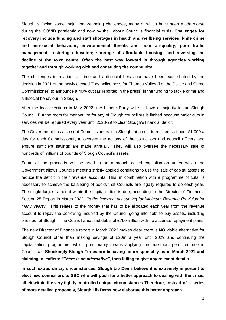Slough is facing some major long-standing challenges, many of which have been made worse during the COVID pandemic and now by the Labour Council's financial crisis. **Challenges for recovery include funding and staff shortages in health and wellbeing services; knife crime and anti-social behaviour; environmental threats and poor air-quality; poor traffic management; restoring education; shortage of affordable housing; and reversing the decline of the town centre. Often the best way forward is through agencies working together and through working with and consulting the community.**

The challenges in relation to crime and anti-social behaviour have been exacerbated by the decision in 2021 of the newly elected Tory police boss for Thames Valley (i.e. the Police and Crime Commissioner) to announce a 40% cut (as reported in the press) in the funding to tackle crime and antisocial behaviour in Slough.

After the local elections in May 2022, the Labour Party will still have a majority to run Slough Council. But the room for manoeuvre for any of Slough councillors is limited because major cuts in services will be required every year until 2028-29 to clear Slough's financial deficit.

The Government has also sent Commissioners into Slough, at a cost to residents of over £1,000 a day for each Commissioner, to oversee the actions of the councillors and council officers and ensure sufficient savings are made annually. They will also oversee the necessary sale of hundreds of millions of pounds of Slough Council's assets.

Some of the proceeds will be used in an approach called capitalisation under which the Government allows Councils meeting strictly applied conditions to use the sale of capital assets to reduce the deficit in their revenue accounts. This, in combination with a programme of cuts, is necessary to achieve the balancing of books that Councils are legally required to do each year. The single largest amount within the capitalisation is due, according to the Director of Finance's Section 25 Report in March 2022, *"to the incorrect accounting for Minimum Revenue Provision for many years."* This relates to the money that has to be allocated each year from the revenue account to repay the borrowing incurred by the Council going into debt to buy assets, including ones out of Slough. The Council amassed debts of £760 million with no accurate repayment plans.

The new Director of Finance's report in March 2022 makes clear there is **NO** viable alternative for Slough Council other than making savings of £20m a year until 2029 and continuing the capitalisation programme, which presumably means applying the maximum permitted rise in Council tax. **Shockingly Slough Tories are behaving as irresponsibly as in March 2021 and claiming in leaflets:** *"There is an alternative"***, then failing to give any relevant details.**

**In such extraordinary circumstances, Slough Lib Dems believe it is extremely important to elect new councillors to SBC who will push for a better approach to dealing with the crisis, albeit within the very tightly controlled unique circumstances.Therefore, instead of a series of more detailed proposals, Slough Lib Dems now elaborate this better approach.**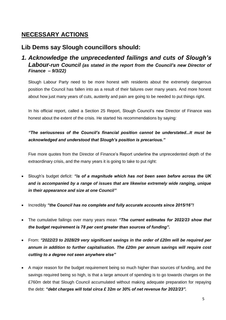#### **NECESSARY ACTIONS**

#### **Lib Dems say Slough councillors should:**

#### *1. Acknowledge the unprecedented failings and cuts of Slough's Labour-run Council (as stated in the report from the Council's new Director of Finance – 9/3/22)*

Slough Labour Party need to be more honest with residents about the extremely dangerous position the Council has fallen into as a result of their failures over many years. And more honest about how just many years of cuts, austerity and pain are going to be needed to put things right.

In his official report, called a Section 25 Report, Slough Council's new Director of Finance was honest about the extent of the crisis. He started his recommendations by saying:

#### *"The seriousness of the Council's financial position cannot be understated...It must be acknowledged and understood that Slough's position is precarious."*

Five more quotes from the Director of Finance's Report underline the unprecedented depth of the extraordinary crisis, and the many years it is going to take to put right:

- Slough's budget deficit: *"is of a magnitude which has not been seen before across the UK and is accompanied by a range of issues that are likewise extremely wide ranging, unique in their appearance and size at one Council"*
- Incredibly *"the Council has no complete and fully accurate accounts since 2015/16"!*
- The cumulative failings over many years mean *"The current estimates for 2022/23 show that the budget requirement is 78 per cent greater than sources of funding".*
- From: *"2022/23 to 2028/29 very significant savings in the order of £20m will be required per annum in addition to further capitalisation. The £20m per annum savings will require cost cutting to a degree not seen anywhere else"*
- A major reason for the budget requirement being so much higher than sources of funding, and the savings required being so high, is that a large amount of spending is to go towards charges on the £760m debt that Slough Council accumulated without making adequate preparation for repaying the debt: *"debt charges will total circa £ 32m or 30% of net revenue for 2022/23".*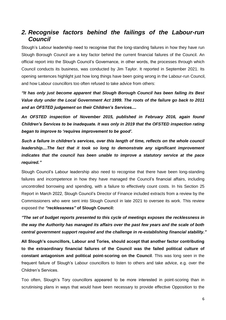#### *2. Recognise factors behind the failings of the Labour-run Council*

Slough's Labour leadership need to recognise that the long-standing failures in how they have run Slough Borough Council are a key factor behind the current financial failures of the Council. An official report into the Slough Council's Governance, in other words, the processes through which Council conducts its business, was conducted by Jim Taylor. It reported in September 2021. Its opening sentences highlight just how long things have been going wrong in the Labour-run Council, and how Labour councillors too often refused to take advice from others:

*"It has only just become apparent that Slough Borough Council has been failing its Best Value duty under the Local Government Act 1999. The roots of the failure go back to 2011 and an OFSTED judgement on their Children's Services....*

*An OFSTED inspection of November 2015, published in February 2016, again found Children's Services to be inadequate. It was only in 2019 that the OFSTED inspection rating began to improve to 'requires improvement to be good'.* 

*Such a failure in children's services, over this length of time, reflects on the whole council leadership....The fact that it took so long to demonstrate any significant improvement indicates that the council has been unable to improve a statutory service at the pace required."* 

Slough Council's Labour leadership also need to recognise that there have been long-standing failures and incompetence in how they have managed the Council's financial affairs, including uncontrolled borrowing and spending, with a failure to effectively count costs. In his Section 25 Report in March 2022, Slough Council's Director of Finance included extracts from a review by the Commissioners who were sent into Slough Council in late 2021 to oversee its work. This review exposed th*e "recklessness"* **of Slough Council:** 

*"The set of budget reports presented to this cycle of meetings exposes the recklessness in the way the Authority has managed its affairs over the past few years and the scale of both central government support required and the challenge in re-establishing financial stability."*

**All Slough's councillors, Labour and Tories, should accept that another factor contributing to the extraordinary financial failures of the Council was the failed political culture of constant antagonism and political point-scoring on the Council**. This was long seen in the frequent failure of Slough's Labour councillors to listen to others and take advice, e.g. over the Children's Services.

Too often, Slough's Tory councillors appeared to be more interested in point-scoring than in scrutinising plans in ways that would have been necessary to provide effective Opposition to the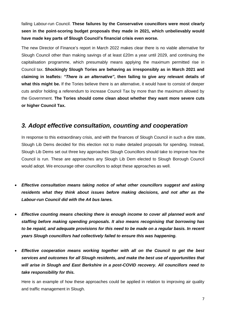failing Labour-run Council. **These failures by the Conservative councillors were most clearly seen in the point-scoring budget proposals they made in 2021, which unbelievably would have made key parts of Slough Council's financial crisis even worse.**

The new Director of Finance's report in March 2022 makes clear there is no viable alternative for Slough Council other than making savings of at least £20m a year until 2029, and continuing the capitalisation programme, which presumably means applying the maximum permitted rise in Council tax. **Shockingly Slough Tories are behaving as irresponsibly as in March 2021 and claiming in leaflets:** *"There is an alternative"***, then failing to give any relevant details of what this might be.** If the Tories believe there is an alternative, it would have to consist of deeper cuts and/or holding a referendum to increase Council Tax by more than the maximum allowed by the Government. **The Tories should come clean about whether they want more severe cuts or higher Council Tax.** 

#### *3. Adopt effective consultation, counting and cooperation*

In response to this extraordinary crisis, and with the finances of Slough Council in such a dire state, Slough Lib Dems decided for this election not to make detailed proposals for spending. Instead, Slough Lib Dems set out three key approaches Slough Councillors should take to improve how the Council is run. These are approaches any Slough Lib Dem elected to Slough Borough Council would adopt. We encourage other councillors to adopt these approaches as well.

- *Effective consultation means taking notice of what other councillors suggest and asking residents what they think about issues before making decisions, and not after as the Labour-run Council did with the A4 bus lanes.*
- *Effective counting means checking there is enough income to cover all planned work and staffing before making spending proposals. It also means recognising that borrowing has to be repaid, and adequate provisions for this need to be made on a regular basis. In recent years Slough councillors had collectively failed to ensure this was happening.*
- *Effective cooperation means working together with all on the Council to get the best services and outcomes for all Slough residents, and make the best use of opportunities that will arise in Slough and East Berkshire in a post-COVID recovery. All councillors need to take responsibility for this.*

Here is an example of how these approaches could be applied in relation to improving air quality and traffic management in Slough.